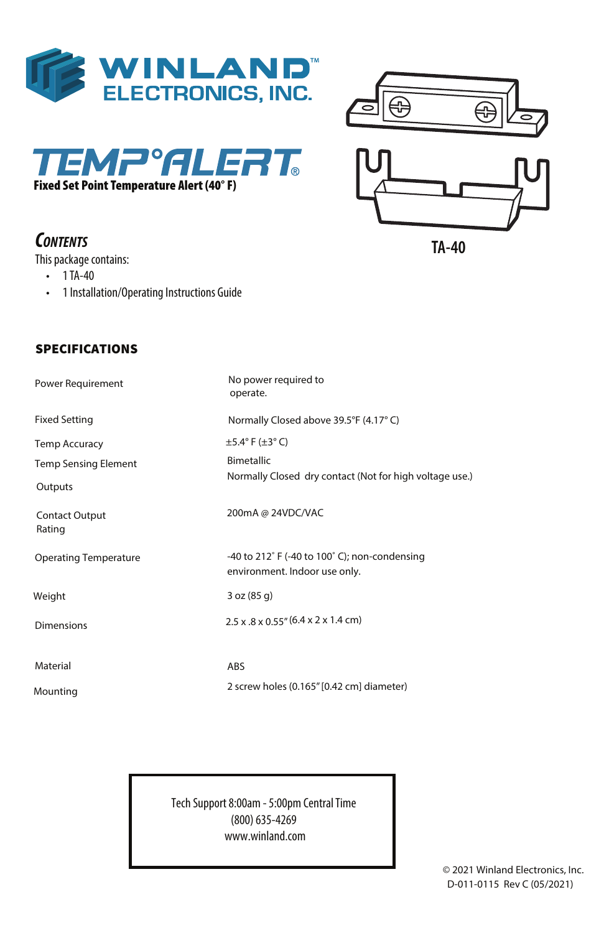





# *CONTENTS*

This package contains:

**SPECIFICATIONS** 

- 1TA-40
- 1 Installation/Operating Instructions Guide

| IU | ГU |
|----|----|
|    |    |
|    |    |

**TA-40**

| <b>Power Requirement</b>     | No power required to<br>operate.                                                                 |
|------------------------------|--------------------------------------------------------------------------------------------------|
| <b>Fixed Setting</b>         | Normally Closed above 39.5°F (4.17°C)                                                            |
| <b>Temp Accuracy</b>         | $\pm$ 5.4° F ( $\pm$ 3° C)                                                                       |
| <b>Temp Sensing Element</b>  | <b>Bimetallic</b>                                                                                |
| Outputs                      | Normally Closed dry contact (Not for high voltage use.)                                          |
| Contact Output<br>Rating     | 200mA @ 24VDC/VAC                                                                                |
| <b>Operating Temperature</b> | -40 to $212^{\circ}$ F (-40 to $100^{\circ}$ C); non-condensing<br>environment. Indoor use only. |
| Weight                       | 3 oz (85 g)                                                                                      |
| <b>Dimensions</b>            | $2.5 \times 0.8 \times 0.55$ " (6.4 x 2 x 1.4 cm)                                                |
| Material                     | <b>ABS</b>                                                                                       |
| Mounting                     | 2 screw holes (0.165" [0.42 cm] diameter)                                                        |

Tech Support 8:00am - 5:00pm CentralTime (800) 635-4269 www.winland.com

> © 2021 Winland Electronics, Inc. D-011-0115 Rev C (05/2021)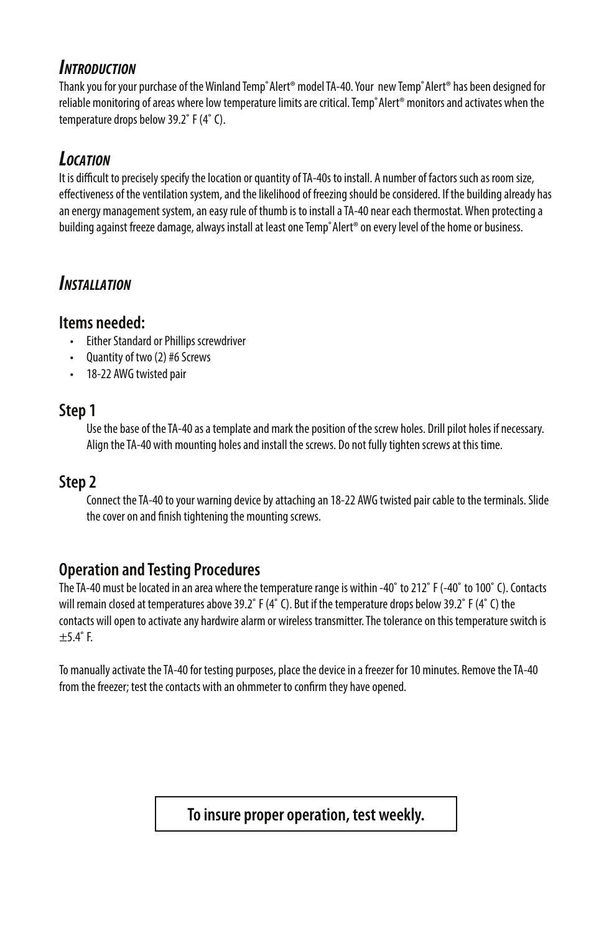#### *INTRODUCTION*

Thank you for your purchase of the Winland Temp°Alert® model TA-40. Your new Temp°Alert® has been designed for reliable monitoring of areas where low temperature limits are critical.Temp˚Alert® monitors and activates when the temperature drops below 39.2˚ F (4˚ C).

# *LOCATION*

It is difficult to precisely specify the location or quantity of TA-40s to install. A number of factors such as room size, effectiveness of the ventilation system, and the likelihood of freezing should be considered. If the building already has an energy management system, an easy rule of thumb is to install aTA-40 near each thermostat.When protecting a building against freeze damage, always install at least one Temp°Alert® on every level of the home or business.

# *INSTALLATION*

#### **Items needed:**

- Either Standard or Phillips screwdriver
- Quantity of two (2) #6 Screws
- 18-22 AWG twisted pair

#### **Step 1**

Use the base of theTA-40 as a template and mark the position of the screw holes. Drill pilot holes if necessary. Align theTA-40 with mounting holes and install the screws. Do not fully tighten screws at this time.

### **Step 2**

Connect theTA-40 to your warning device by attaching an 18-22 AWG twisted pair cable to the terminals. Slide the cover on and finish tightening the mounting screws.

### **Operation and Testing Procedures**

TheTA-40 must be located in an area where the temperature range is within -40˚ to 212˚ F (-40˚ to 100˚ C). Contacts will remain closed at temperatures above 39.2˚ F (4˚ C). But if the temperature drops below 39.2˚ F (4˚ C) the contacts will open to activate any hardwire alarm or wireless transmitter.The tolerance on this temperature switch is  $\pm$ 5.4 $\degree$ F.

To manually activate theTA-40 for testing purposes, place the device in a freezer for 10 minutes. Remove theTA-40 from the freezer; test the contacts with an ohmmeter to confirm they have opened.

### **To insure proper operation, test weekly.**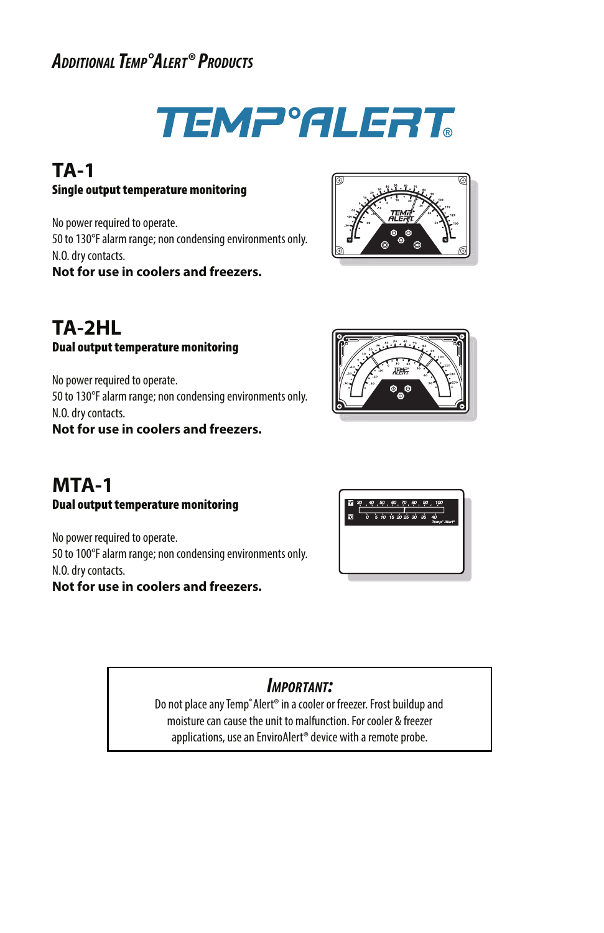# *ADDITIONAL TEMP°ALERT® PRODUCTS*



#### **TA-1** Single output temperature monitoring

No power required to operate. 50 to 130°F alarm range; non condensing environments only. N.O. dry contacts. **Not for use in coolers and freezers.**



### **TA-2HL** Dual output temperature monitoring

No power required to operate. 50 to 130°F alarm range; non condensing environments only. N.O. dry contacts.

**Not for use in coolers and freezers.**



#### **MTA-1** Dual output temperature monitoring

No power required to operate. 50 to 100°F alarm range; non condensing environments only. N.O. dry contacts. **Not for use in coolers and freezers.**



## *IMPORTANT:*

Do not place any Temp° Alert® in a cooler or freezer. Frost buildup and moisture can cause the unit to malfunction. For cooler & freezer applications, use an EnviroAlert® device with a remote probe.